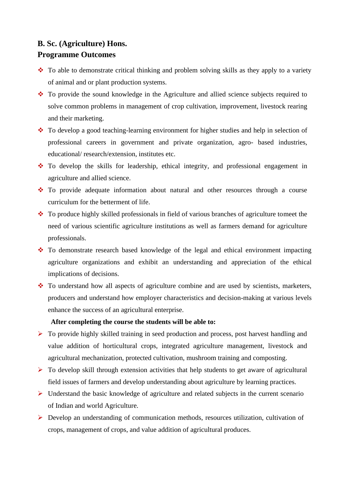## **B. Sc. (Agriculture) Hons. Programme Outcomes**

- ❖ To able to demonstrate critical thinking and problem solving skills as they apply to a variety of animal and or plant production systems.
- ❖ To provide the sound knowledge in the Agriculture and allied science subjects required to solve common problems in management of crop cultivation, improvement, livestock rearing and their marketing.
- ❖ To develop a good teaching-learning environment for higher studies and help in selection of professional careers in government and private organization, agro- based industries, educational/ research/extension, institutes etc.
- ❖ To develop the skills for leadership, ethical integrity, and professional engagement in agriculture and allied science.
- ❖ To provide adequate information about natural and other resources through a course curriculum for the betterment of life.
- ❖ To produce highly skilled professionals in field of various branches of agriculture tomeet the need of various scientific agriculture institutions as well as farmers demand for agriculture professionals.
- ❖ To demonstrate research based knowledge of the legal and ethical environment impacting agriculture organizations and exhibit an understanding and appreciation of the ethical implications of decisions.
- ❖ To understand how all aspects of agriculture combine and are used by scientists, marketers, producers and understand how employer characteristics and decision-making at various levels enhance the success of an agricultural enterprise.

## **After completing the course the students will be able to:**

- ➢ To provide highly skilled training in seed production and process, post harvest handling and value addition of horticultural crops, integrated agriculture management, livestock and agricultural mechanization, protected cultivation, mushroom training and composting.
- $\triangleright$  To develop skill through extension activities that help students to get aware of agricultural field issues of farmers and develop understanding about agriculture by learning practices.
- ➢ Understand the basic knowledge of agriculture and related subjects in the current scenario of Indian and world Agriculture.
- ➢ Develop an understanding of communication methods, resources utilization, cultivation of crops, management of crops, and value addition of agricultural produces.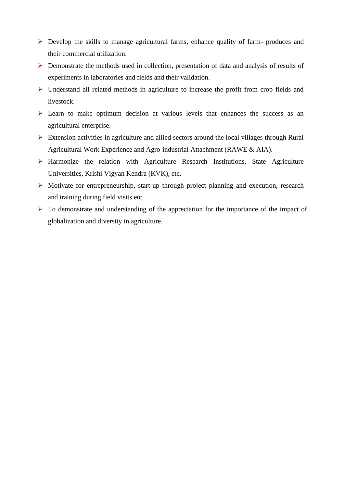- ➢ Develop the skills to manage agricultural farms, enhance quality of farm- produces and their commercial utilization.
- ➢ Demonstrate the methods used in collection, presentation of data and analysis of results of experiments in laboratories and fields and their validation.
- ➢ Understand all related methods in agriculture to increase the profit from crop fields and livestock.
- ➢ Learn to make optimum decision at various levels that enhances the success as an agricultural enterprise.
- ➢ Extension activities in agriculture and allied sectors around the local villages through Rural Agricultural Work Experience and Agro-industrial Attachment (RAWE & AIA).
- ➢ Harmonize the relation with Agriculture Research Institutions, State Agriculture Universities, Krishi Vigyan Kendra (KVK), etc.
- ➢ Motivate for entrepreneurship, start-up through project planning and execution, research and training during field visits etc.
- ➢ To demonstrate and understanding of the appreciation for the importance of the impact of globalization and diversity in agriculture.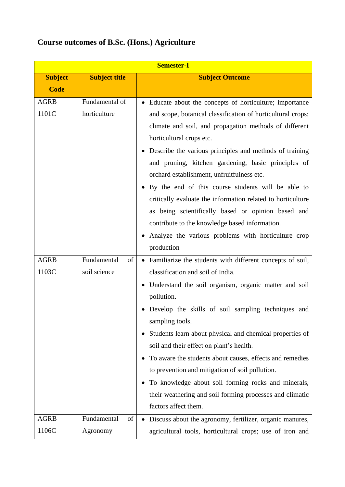| <b>Course outcomes of B.Sc. (Hons.) Agriculture</b> |  |
|-----------------------------------------------------|--|
|-----------------------------------------------------|--|

| <b>Semester-I</b> |                      |                                                                  |
|-------------------|----------------------|------------------------------------------------------------------|
| <b>Subject</b>    | <b>Subject title</b> | <b>Subject Outcome</b>                                           |
| <b>Code</b>       |                      |                                                                  |
| <b>AGRB</b>       | Fundamental of       | • Educate about the concepts of horticulture; importance         |
| 1101C             | horticulture         | and scope, botanical classification of horticultural crops;      |
|                   |                      | climate and soil, and propagation methods of different           |
|                   |                      | horticultural crops etc.                                         |
|                   |                      | Describe the various principles and methods of training          |
|                   |                      | and pruning, kitchen gardening, basic principles of              |
|                   |                      | orchard establishment, unfruitfulness etc.                       |
|                   |                      | By the end of this course students will be able to               |
|                   |                      | critically evaluate the information related to horticulture      |
|                   |                      | as being scientifically based or opinion based and               |
|                   |                      | contribute to the knowledge based information.                   |
|                   |                      | Analyze the various problems with horticulture crop              |
|                   |                      | production                                                       |
| <b>AGRB</b>       | Fundamental<br>of    | • Familiarize the students with different concepts of soil,      |
| 1103C             | soil science         | classification and soil of India.                                |
|                   |                      | Understand the soil organism, organic matter and soil            |
|                   |                      | pollution.                                                       |
|                   |                      | Develop the skills of soil sampling techniques and               |
|                   |                      | sampling tools.                                                  |
|                   |                      | Students learn about physical and chemical properties of         |
|                   |                      | soil and their effect on plant's health.                         |
|                   |                      | To aware the students about causes, effects and remedies         |
|                   |                      | to prevention and mitigation of soil pollution.                  |
|                   |                      | To knowledge about soil forming rocks and minerals,<br>$\bullet$ |
|                   |                      | their weathering and soil forming processes and climatic         |
|                   |                      | factors affect them.                                             |
| <b>AGRB</b>       | Fundamental<br>of    | Discuss about the agronomy, fertilizer, organic manures,         |
| 1106C             | Agronomy             | agricultural tools, horticultural crops; use of iron and         |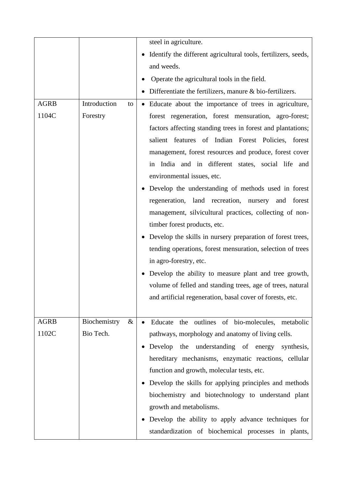|             |                      | steel in agriculture.                                                   |
|-------------|----------------------|-------------------------------------------------------------------------|
|             |                      | Identify the different agricultural tools, fertilizers, seeds,          |
|             |                      | and weeds.                                                              |
|             |                      | Operate the agricultural tools in the field.                            |
|             |                      | Differentiate the fertilizers, manure $\&$ bio-fertilizers.             |
| <b>AGRB</b> | Introduction<br>to   | • Educate about the importance of trees in agriculture,                 |
| 1104C       | Forestry             | forest regeneration, forest mensuration, agro-forest;                   |
|             |                      | factors affecting standing trees in forest and plantations;             |
|             |                      | salient features of Indian Forest Policies, forest                      |
|             |                      | management, forest resources and produce, forest cover                  |
|             |                      | in India and in different states, social life and                       |
|             |                      | environmental issues, etc.                                              |
|             |                      | Develop the understanding of methods used in forest                     |
|             |                      | regeneration, land recreation, nursery and<br>forest                    |
|             |                      | management, silvicultural practices, collecting of non-                 |
|             |                      | timber forest products, etc.                                            |
|             |                      | Develop the skills in nursery preparation of forest trees,<br>$\bullet$ |
|             |                      | tending operations, forest mensuration, selection of trees              |
|             |                      | in agro-forestry, etc.                                                  |
|             |                      | Develop the ability to measure plant and tree growth,<br>$\bullet$      |
|             |                      | volume of felled and standing trees, age of trees, natural              |
|             |                      | and artificial regeneration, basal cover of forests, etc.               |
|             |                      |                                                                         |
| <b>AGRB</b> | Biochemistry<br>$\&$ | Educate the outlines of bio-molecules, metabolic                        |
| 1102C       | Bio Tech.            | pathways, morphology and anatomy of living cells.                       |
|             |                      | Develop the understanding of energy synthesis,<br>$\bullet$             |
|             |                      | hereditary mechanisms, enzymatic reactions, cellular                    |
|             |                      | function and growth, molecular tests, etc.                              |
|             |                      | Develop the skills for applying principles and methods<br>$\bullet$     |
|             |                      | biochemistry and biotechnology to understand plant                      |
|             |                      | growth and metabolisms.                                                 |
|             |                      | Develop the ability to apply advance techniques for                     |
|             |                      | standardization of biochemical processes in plants,                     |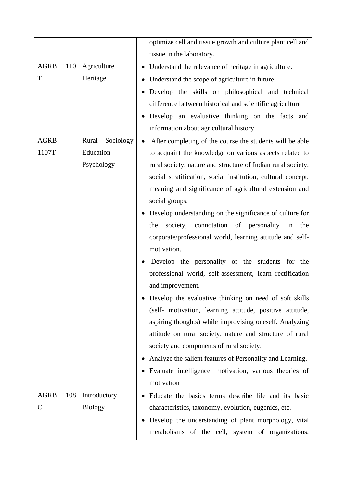|              |                      | optimize cell and tissue growth and culture plant cell and          |
|--------------|----------------------|---------------------------------------------------------------------|
|              |                      | tissue in the laboratory.                                           |
| AGRB 1110    | Agriculture          | • Understand the relevance of heritage in agriculture.              |
| T            | Heritage             | Understand the scope of agriculture in future.<br>$\bullet$         |
|              |                      | Develop the skills on philosophical and technical<br>٠              |
|              |                      | difference between historical and scientific agriculture            |
|              |                      | Develop an evaluative thinking on the facts and                     |
|              |                      | information about agricultural history                              |
| <b>AGRB</b>  | Rural<br>Sociology   | After completing of the course the students will be able            |
| 1107T        | Education            | to acquaint the knowledge on various aspects related to             |
|              | Psychology           | rural society, nature and structure of Indian rural society,        |
|              |                      | social stratification, social institution, cultural concept,        |
|              |                      | meaning and significance of agricultural extension and              |
|              |                      | social groups.                                                      |
|              |                      | Develop understanding on the significance of culture for            |
|              |                      | the<br>society, connotation of personality<br>in<br>the             |
|              |                      | corporate/professional world, learning attitude and self-           |
|              |                      | motivation.                                                         |
|              |                      | Develop the personality of the students for the                     |
|              |                      | professional world, self-assessment, learn rectification            |
|              |                      | and improvement.                                                    |
|              |                      | • Develop the evaluative thinking on need of soft skills            |
|              |                      | (self- motivation, learning attitude, positive attitude,            |
|              |                      | aspiring thoughts) while improvising oneself. Analyzing             |
|              |                      | attitude on rural society, nature and structure of rural            |
|              |                      | society and components of rural society.                            |
|              |                      | Analyze the salient features of Personality and Learning.           |
|              |                      | Evaluate intelligence, motivation, various theories of<br>$\bullet$ |
|              |                      | motivation                                                          |
| <b>AGRB</b>  | 1108<br>Introductory | • Educate the basics terms describe life and its basic              |
| $\mathsf{C}$ | <b>Biology</b>       | characteristics, taxonomy, evolution, eugenics, etc.                |
|              |                      | Develop the understanding of plant morphology, vital<br>$\bullet$   |
|              |                      | metabolisms of the cell, system of organizations,                   |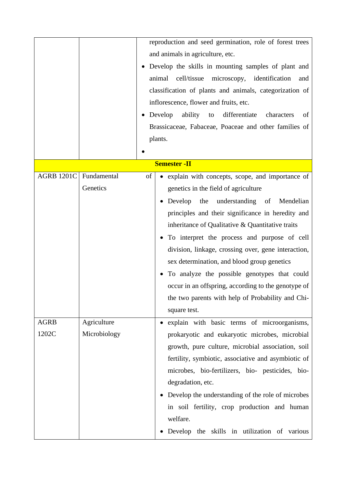|                   |              |    | reproduction and seed germination, role of forest trees       |
|-------------------|--------------|----|---------------------------------------------------------------|
|                   |              |    | and animals in agriculture, etc.                              |
|                   |              |    | Develop the skills in mounting samples of plant and           |
|                   |              |    | animal cell/tissue microscopy, identification<br>and          |
|                   |              |    | classification of plants and animals, categorization of       |
|                   |              |    | inflorescence, flower and fruits, etc.                        |
|                   |              |    | Develop<br>ability<br>differentiate<br>to<br>characters<br>of |
|                   |              |    | Brassicaceae, Fabaceae, Poaceae and other families of         |
|                   |              |    | plants.                                                       |
|                   |              |    |                                                               |
|                   |              |    | <b>Semester - II</b>                                          |
| <b>AGRB 1201C</b> | Fundamental  | of | explain with concepts, scope, and importance of               |
|                   | Genetics     |    |                                                               |
|                   |              |    | genetics in the field of agriculture                          |
|                   |              |    | Develop the understanding of Mendelian                        |
|                   |              |    | principles and their significance in heredity and             |
|                   |              |    | inheritance of Qualitative & Quantitative traits              |
|                   |              |    | To interpret the process and purpose of cell                  |
|                   |              |    | division, linkage, crossing over, gene interaction,           |
|                   |              |    | sex determination, and blood group genetics                   |
|                   |              |    | To analyze the possible genotypes that could                  |
|                   |              |    | occur in an offspring, according to the genotype of           |
|                   |              |    | the two parents with help of Probability and Chi-             |
|                   |              |    | square test.                                                  |
| <b>AGRB</b>       | Agriculture  |    | explain with basic terms of microorganisms,                   |
| 1202C             | Microbiology |    | prokaryotic and eukaryotic microbes, microbial                |
|                   |              |    | growth, pure culture, microbial association, soil             |
|                   |              |    | fertility, symbiotic, associative and asymbiotic of           |
|                   |              |    | microbes, bio-fertilizers, bio- pesticides, bio-              |
|                   |              |    | degradation, etc.                                             |
|                   |              |    | Develop the understanding of the role of microbes             |
|                   |              |    | in soil fertility, crop production and human                  |
|                   |              |    | welfare.                                                      |
|                   |              |    | Develop the skills in utilization of various                  |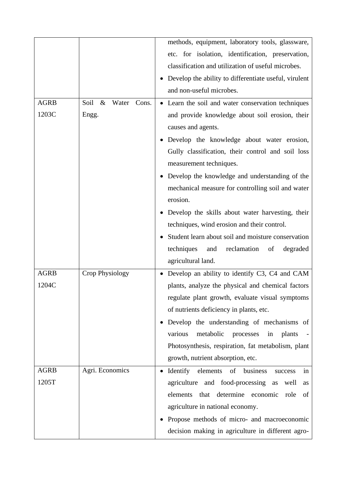|             |                                | methods, equipment, laboratory tools, glassware,            |
|-------------|--------------------------------|-------------------------------------------------------------|
|             |                                | etc. for isolation, identification, preservation,           |
|             |                                | classification and utilization of useful microbes.          |
|             |                                | Develop the ability to differentiate useful, virulent       |
|             |                                | and non-useful microbes.                                    |
| <b>AGRB</b> | Soil<br>$\&$<br>Water<br>Cons. | • Learn the soil and water conservation techniques          |
| 1203C       | Engg.                          | and provide knowledge about soil erosion, their             |
|             |                                | causes and agents.                                          |
|             |                                | Develop the knowledge about water erosion,<br>$\bullet$     |
|             |                                | Gully classification, their control and soil loss           |
|             |                                | measurement techniques.                                     |
|             |                                | Develop the knowledge and understanding of the<br>$\bullet$ |
|             |                                | mechanical measure for controlling soil and water           |
|             |                                | erosion.                                                    |
|             |                                | Develop the skills about water harvesting, their            |
|             |                                | techniques, wind erosion and their control.                 |
|             |                                | Student learn about soil and moisture conservation          |
|             |                                | techniques<br>reclamation<br>and<br>of<br>degraded          |
|             |                                | agricultural land.                                          |
| <b>AGRB</b> | Crop Physiology                | Develop an ability to identify C3, C4 and CAM               |
| 1204C       |                                | plants, analyze the physical and chemical factors           |
|             |                                | regulate plant growth, evaluate visual symptoms             |
|             |                                | of nutrients deficiency in plants, etc.                     |
|             |                                | Develop the understanding of mechanisms of                  |
|             |                                | various<br>metabolic<br>plants<br>processes<br>in           |
|             |                                | Photosynthesis, respiration, fat metabolism, plant          |
|             |                                | growth, nutrient absorption, etc.                           |
| <b>AGRB</b> | Agri. Economics                | Identify elements<br>of business<br>success<br>1n           |
| 1205T       |                                | agriculture and food-processing<br>as<br>well<br>as         |
|             |                                | determine economic<br>elements<br>that<br>role<br>of        |
|             |                                | agriculture in national economy.                            |
|             |                                | Propose methods of micro- and macroeconomic                 |
|             |                                | decision making in agriculture in different agro-           |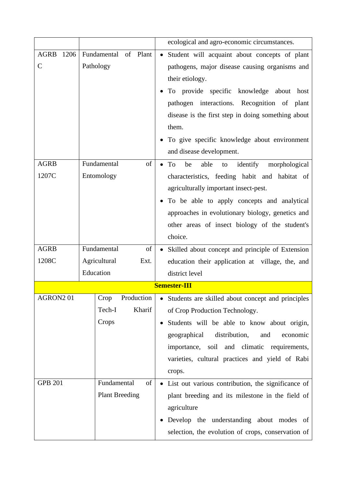|                            |                                                 | ecological and agro-economic circumstances.                                                                                                                                                                                                                                                                                                                   |  |
|----------------------------|-------------------------------------------------|---------------------------------------------------------------------------------------------------------------------------------------------------------------------------------------------------------------------------------------------------------------------------------------------------------------------------------------------------------------|--|
| AGRB 1206<br>$\mathcal{C}$ | Fundamental<br>of Plant<br>Pathology            | Student will acquaint about concepts of plant<br>pathogens, major disease causing organisms and<br>their etiology.<br>To provide specific knowledge about<br>host<br>pathogen interactions. Recognition of plant<br>disease is the first step in doing something about<br>them.<br>• To give specific knowledge about environment<br>and disease development. |  |
| <b>AGRB</b><br>1207C       | Fundamental<br>of<br>Entomology                 | able<br>identify<br>morphological<br>To<br>be<br>to<br>$\bullet$<br>characteristics, feeding habit and habitat of<br>agriculturally important insect-pest.<br>To be able to apply concepts and analytical<br>approaches in evolutionary biology, genetics and<br>other areas of insect biology of the student's<br>choice.                                    |  |
| <b>AGRB</b>                | Fundamental<br>of                               | • Skilled about concept and principle of Extension                                                                                                                                                                                                                                                                                                            |  |
| 1208C                      | Agricultural<br>Ext.<br>Education               | education their application at village, the, and<br>district level                                                                                                                                                                                                                                                                                            |  |
| <b>Semester-III</b>        |                                                 |                                                                                                                                                                                                                                                                                                                                                               |  |
| AGRON201                   | Crop<br>Production<br>Tech-I<br>Kharif<br>Crops | • Students are skilled about concept and principles<br>of Crop Production Technology.<br>Students will be able to know about origin,<br>distribution,<br>geographical<br>and<br>economic<br>importance, soil and climatic requirements,<br>varieties, cultural practices and yield of Rabi<br>crops.                                                          |  |
| <b>GPB 201</b>             | Fundamental<br>of<br><b>Plant Breeding</b>      | • List out various contribution, the significance of<br>plant breeding and its milestone in the field of<br>agriculture<br>Develop the understanding about modes of<br>$\bullet$<br>selection, the evolution of crops, conservation of                                                                                                                        |  |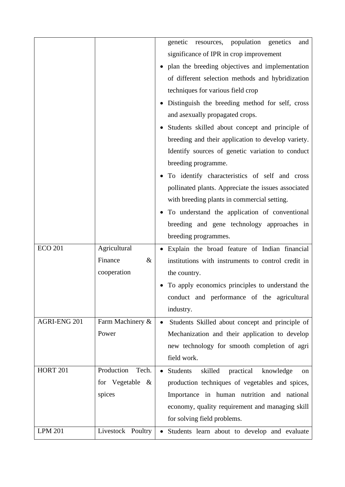|                 |                     | genetic resources, population genetics<br>and              |
|-----------------|---------------------|------------------------------------------------------------|
|                 |                     | significance of IPR in crop improvement                    |
|                 |                     | plan the breeding objectives and implementation            |
|                 |                     | of different selection methods and hybridization           |
|                 |                     | techniques for various field crop                          |
|                 |                     | Distinguish the breeding method for self, cross            |
|                 |                     | and asexually propagated crops.                            |
|                 |                     | Students skilled about concept and principle of            |
|                 |                     | breeding and their application to develop variety.         |
|                 |                     | Identify sources of genetic variation to conduct           |
|                 |                     | breeding programme.                                        |
|                 |                     | To identify characteristics of self and cross              |
|                 |                     | pollinated plants. Appreciate the issues associated        |
|                 |                     | with breeding plants in commercial setting.                |
|                 |                     | To understand the application of conventional              |
|                 |                     | breeding and gene technology approaches in                 |
|                 |                     | breeding programmes.                                       |
| <b>ECO 201</b>  | Agricultural        | • Explain the broad feature of Indian financial            |
|                 | Finance<br>&        | institutions with instruments to control credit in         |
|                 | cooperation         | the country.                                               |
|                 |                     | To apply economics principles to understand the            |
|                 |                     | conduct and performance of the agricultural                |
|                 |                     | industry.                                                  |
| AGRI-ENG 201    | Farm Machinery &    | Students Skilled about concept and principle of            |
|                 | Power               | Mechanization and their application to develop             |
|                 |                     | new technology for smooth completion of agri               |
|                 |                     | field work.                                                |
| <b>HORT 201</b> | Production<br>Tech. | skilled<br>practical<br><b>Students</b><br>knowledge<br>on |
|                 | for Vegetable $\&$  | production techniques of vegetables and spices,            |
|                 | spices              | Importance in human nutrition and national                 |
|                 |                     | economy, quality requirement and managing skill            |
|                 |                     | for solving field problems.                                |
| <b>LPM 201</b>  | Livestock Poultry   | Students learn about to develop and evaluate               |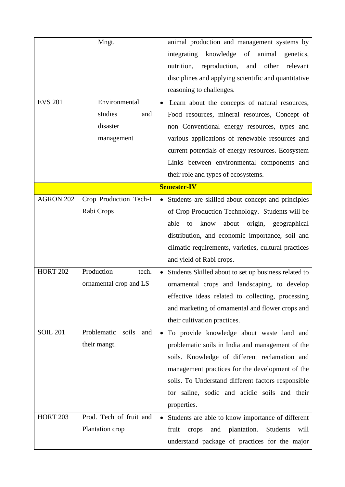| <b>EVS 201</b>  | Mngt.<br>Environmental<br>studies<br>and<br>disaster<br>management | animal production and management systems by<br>knowledge<br>integrating<br>of animal<br>genetics,<br>nutrition,<br>reproduction, and other<br>relevant<br>disciplines and applying scientific and quantitative<br>reasoning to challenges.<br>Learn about the concepts of natural resources,<br>Food resources, mineral resources, Concept of<br>non Conventional energy resources, types and<br>various applications of renewable resources and<br>current potentials of energy resources. Ecosystem |
|-----------------|--------------------------------------------------------------------|-------------------------------------------------------------------------------------------------------------------------------------------------------------------------------------------------------------------------------------------------------------------------------------------------------------------------------------------------------------------------------------------------------------------------------------------------------------------------------------------------------|
|                 |                                                                    | Links between environmental components and<br>their role and types of ecosystems.                                                                                                                                                                                                                                                                                                                                                                                                                     |
|                 |                                                                    | <b>Semester-IV</b>                                                                                                                                                                                                                                                                                                                                                                                                                                                                                    |
| AGRON 202       | Crop Production Tech-I<br>Rabi Crops                               | • Students are skilled about concept and principles<br>of Crop Production Technology. Students will be<br>able<br>know<br>about<br>origin, geographical<br>to<br>distribution, and economic importance, soil and<br>climatic requirements, varieties, cultural practices<br>and yield of Rabi crops.                                                                                                                                                                                                  |
| <b>HORT 202</b> | Production<br>tech.<br>ornamental crop and LS                      | Students Skilled about to set up business related to<br>ornamental crops and landscaping, to develop<br>effective ideas related to collecting, processing<br>and marketing of ornamental and flower crops and<br>their cultivation practices.                                                                                                                                                                                                                                                         |
| <b>SOIL 201</b> | Problematic<br>soils<br>and<br>their mangt.                        | • To provide knowledge about waste land and<br>problematic soils in India and management of the<br>soils. Knowledge of different reclamation and<br>management practices for the development of the<br>soils. To Understand different factors responsible<br>for saline, sodic and acidic soils and their<br>properties.                                                                                                                                                                              |
| <b>HORT 203</b> | Prod. Tech of fruit and<br>Plantation crop                         | Students are able to know importance of different<br>fruit<br>and plantation.<br>Students<br>crops<br>will<br>understand package of practices for the major                                                                                                                                                                                                                                                                                                                                           |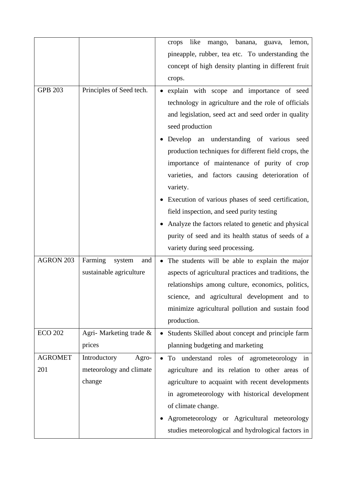|                  |                          | like<br>mango, banana,<br>crops<br>guava,<br>lemon,   |
|------------------|--------------------------|-------------------------------------------------------|
|                  |                          | pineapple, rubber, tea etc. To understanding the      |
|                  |                          | concept of high density planting in different fruit   |
|                  |                          | crops.                                                |
| <b>GPB 203</b>   | Principles of Seed tech. | explain with scope and importance of seed             |
|                  |                          | technology in agriculture and the role of officials   |
|                  |                          | and legislation, seed act and seed order in quality   |
|                  |                          | seed production                                       |
|                  |                          | Develop an understanding of various<br>seed           |
|                  |                          | production techniques for different field crops, the  |
|                  |                          | importance of maintenance of purity of crop           |
|                  |                          | varieties, and factors causing deterioration of       |
|                  |                          | variety.                                              |
|                  |                          | Execution of various phases of seed certification,    |
|                  |                          | field inspection, and seed purity testing             |
|                  |                          | Analyze the factors related to genetic and physical   |
|                  |                          | purity of seed and its health status of seeds of a    |
|                  |                          | variety during seed processing.                       |
| <b>AGRON 203</b> | Farming<br>system<br>and | The students will be able to explain the major        |
|                  | sustainable agriculture  | aspects of agricultural practices and traditions, the |
|                  |                          | relationships among culture, economics, politics,     |
|                  |                          | science, and agricultural development and to          |
|                  |                          | minimize agricultural pollution and sustain food      |
|                  |                          | production.                                           |
| <b>ECO 202</b>   | Agri- Marketing trade &  | Students Skilled about concept and principle farm     |
|                  | prices                   | planning budgeting and marketing                      |
| <b>AGROMET</b>   | Introductory<br>Agro-    | To understand roles of agrometeorology in             |
| 201              | meteorology and climate  | agriculture and its relation to other areas of        |
|                  | change                   | agriculture to acquaint with recent developments      |
|                  |                          | in agrometeorology with historical development        |
|                  |                          | of climate change.                                    |
|                  |                          | Agrometeorology or Agricultural meteorology           |
|                  |                          | studies meteorological and hydrological factors in    |
|                  |                          |                                                       |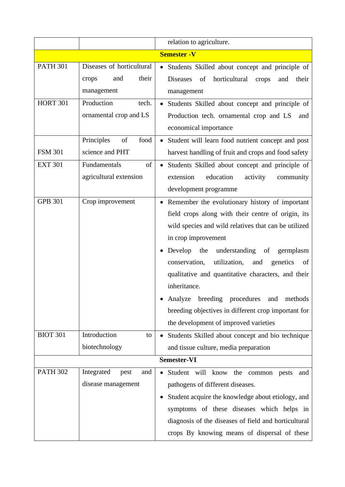|                 |                           | relation to agriculture.                                 |
|-----------------|---------------------------|----------------------------------------------------------|
|                 |                           | <b>Semester - V</b>                                      |
| <b>PATH 301</b> | Diseases of horticultural | • Students Skilled about concept and principle of        |
|                 | and<br>their<br>crops     | of<br>horticultural<br>Diseases<br>crops<br>and<br>their |
|                 | management                | management                                               |
| <b>HORT 301</b> | Production<br>tech.       | • Students Skilled about concept and principle of        |
|                 | ornamental crop and LS    | Production tech. ornamental crop and LS<br>and           |
|                 |                           | economical importance                                    |
|                 | Principles<br>of<br>food  | • Student will learn food nutrient concept and post      |
| <b>FSM 301</b>  | science and PHT           | harvest handling of fruit and crops and food safety      |
| <b>EXT 301</b>  | Fundamentals<br>of        | Students Skilled about concept and principle of          |
|                 | agricultural extension    | extension<br>education<br>activity<br>community          |
|                 |                           | development programme                                    |
| <b>GPB 301</b>  | Crop improvement          | Remember the evolutionary history of important           |
|                 |                           | field crops along with their centre of origin, its       |
|                 |                           | wild species and wild relatives that can be utilized     |
|                 |                           | in crop improvement                                      |
|                 |                           | Develop the understanding of<br>germplasm                |
|                 |                           | utilization,<br>conservation,<br>and<br>genetics<br>of   |
|                 |                           | qualitative and quantitative characters, and their       |
|                 |                           | inheritance.                                             |
|                 |                           | breeding procedures<br>Analyze<br>methods<br>and         |
|                 |                           | breeding objectives in different crop important for      |
|                 |                           | the development of improved varieties                    |
| <b>BIOT 301</b> | Introduction<br>to        | Students Skilled about concept and bio technique         |
|                 | biotechnology             | and tissue culture, media preparation                    |
|                 |                           | <b>Semester-VI</b>                                       |
| <b>PATH 302</b> | Integrated<br>and<br>pest | Student will know<br>the<br>common<br>pests<br>and       |
|                 | disease management        | pathogens of different diseases.                         |
|                 |                           | Student acquire the knowledge about etiology, and        |
|                 |                           | symptoms of these diseases which helps in                |
|                 |                           | diagnosis of the diseases of field and horticultural     |
|                 |                           | crops By knowing means of dispersal of these             |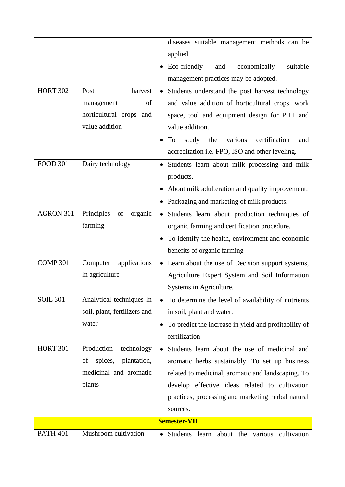|                     |                              | diseases suitable management methods can be                        |
|---------------------|------------------------------|--------------------------------------------------------------------|
|                     |                              | applied.                                                           |
|                     |                              | Eco-friendly<br>suitable<br>economically<br>and                    |
|                     |                              | management practices may be adopted.                               |
| <b>HORT 302</b>     | Post<br>harvest              | Students understand the post harvest technology                    |
|                     | of<br>management             | and value addition of horticultural crops, work                    |
|                     | horticultural crops and      | space, tool and equipment design for PHT and                       |
|                     | value addition               | value addition.                                                    |
|                     |                              | various<br>certification<br>To<br>study<br>the<br>and              |
|                     |                              | accreditation i.e. FPO, ISO and other leveling.                    |
| <b>FOOD 301</b>     | Dairy technology             | Students learn about milk processing and milk                      |
|                     |                              | products.                                                          |
|                     |                              | About milk adulteration and quality improvement.                   |
|                     |                              | Packaging and marketing of milk products.                          |
| AGRON 301           | Principles<br>of<br>organic  | Students learn about production techniques of<br>$\bullet$         |
|                     | farming                      | organic farming and certification procedure.                       |
|                     |                              | To identify the health, environment and economic                   |
|                     |                              | benefits of organic farming                                        |
| COMP <sub>301</sub> | applications<br>Computer     | • Learn about the use of Decision support systems,                 |
|                     | in agriculture               | Agriculture Expert System and Soil Information                     |
|                     |                              | Systems in Agriculture.                                            |
| <b>SOIL 301</b>     | Analytical techniques in     | To determine the level of availability of nutrients                |
|                     | soil, plant, fertilizers and | in soil, plant and water.                                          |
|                     | water                        | To predict the increase in yield and profitability of<br>$\bullet$ |
|                     |                              | fertilization                                                      |
| <b>HORT 301</b>     | Production<br>technology     | Students learn about the use of medicinal and                      |
|                     | spices,<br>plantation,<br>of | aromatic herbs sustainably. To set up business                     |
|                     | medicinal and aromatic       | related to medicinal, aromatic and landscaping. To                 |
|                     | plants                       | develop effective ideas related to cultivation                     |
|                     |                              | practices, processing and marketing herbal natural                 |
|                     |                              | sources.                                                           |
|                     |                              | <b>Semester-VII</b>                                                |
| <b>PATH-401</b>     | Mushroom cultivation         | Students learn<br>about the<br>cultivation<br>various              |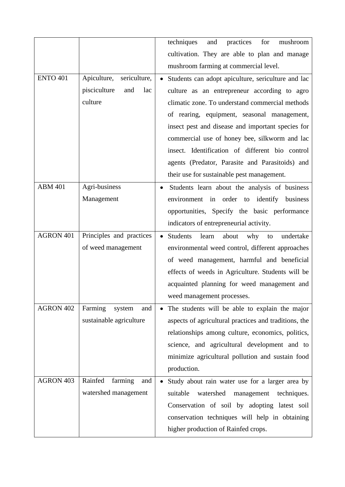|                 |                             | techniques<br>practices<br>and<br>for<br>mushroom               |
|-----------------|-----------------------------|-----------------------------------------------------------------|
|                 |                             | cultivation. They are able to plan and manage                   |
|                 |                             | mushroom farming at commercial level.                           |
| <b>ENTO 401</b> | Apiculture,<br>sericulture, | Students can adopt apiculture, sericulture and lac<br>$\bullet$ |
|                 | pisciculture<br>and<br>lac  | culture as an entrepreneur according to agro                    |
|                 | culture                     | climatic zone. To understand commercial methods                 |
|                 |                             | of rearing, equipment, seasonal management,                     |
|                 |                             | insect pest and disease and important species for               |
|                 |                             | commercial use of honey bee, silkworm and lac                   |
|                 |                             | insect. Identification of different bio control                 |
|                 |                             | agents (Predator, Parasite and Parasitoids) and                 |
|                 |                             | their use for sustainable pest management.                      |
| <b>ABM 401</b>  | Agri-business               | Students learn about the analysis of business<br>$\bullet$      |
|                 | Management                  | environment in order to identify business                       |
|                 |                             | opportunities, Specify the basic performance                    |
|                 |                             | indicators of entrepreneurial activity.                         |
| AGRON 401       | Principles and practices    | <b>Students</b><br>why<br>learn<br>about<br>undertake<br>to     |
|                 | of weed management          | environmental weed control, different approaches                |
|                 |                             | of weed management, harmful and beneficial                      |
|                 |                             | effects of weeds in Agriculture. Students will be               |
|                 |                             | acquainted planning for weed management and                     |
|                 |                             | weed management processes.                                      |
| AGRON 402       | Farming<br>system<br>and    | The students will be able to explain the major<br>$\bullet$     |
|                 | sustainable agriculture     | aspects of agricultural practices and traditions, the           |
|                 |                             | relationships among culture, economics, politics,               |
|                 |                             | science, and agricultural development and to                    |
|                 |                             | minimize agricultural pollution and sustain food                |
|                 |                             | production.                                                     |
| AGRON 403       | Rainfed<br>farming<br>and   | Study about rain water use for a larger area by<br>$\bullet$    |
|                 | watershed management        | suitable<br>watershed<br>management<br>techniques.              |
|                 |                             | Conservation of soil by adopting latest soil                    |
|                 |                             | conservation techniques will help in obtaining                  |
|                 |                             | higher production of Rainfed crops.                             |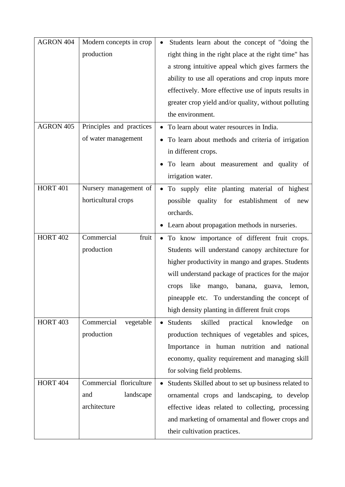| AGRON 404       | Modern concepts in crop  | Students learn about the concept of "doing the            |
|-----------------|--------------------------|-----------------------------------------------------------|
|                 | production               | right thing in the right place at the right time" has     |
|                 |                          | a strong intuitive appeal which gives farmers the         |
|                 |                          | ability to use all operations and crop inputs more        |
|                 |                          | effectively. More effective use of inputs results in      |
|                 |                          | greater crop yield and/or quality, without polluting      |
|                 |                          | the environment.                                          |
| AGRON 405       | Principles and practices | • To learn about water resources in India.                |
|                 | of water management      | To learn about methods and criteria of irrigation         |
|                 |                          | in different crops.                                       |
|                 |                          | To learn about measurement and quality of                 |
|                 |                          | irrigation water.                                         |
| <b>HORT 401</b> | Nursery management of    | · To supply elite planting material of highest            |
|                 | horticultural crops      | possible quality for establishment of<br>new              |
|                 |                          | orchards.                                                 |
|                 |                          | • Learn about propagation methods in nurseries.           |
| <b>HORT 402</b> | Commercial<br>fruit      | To know importance of different fruit crops.<br>$\bullet$ |
|                 | production               | Students will understand canopy architecture for          |
|                 |                          | higher productivity in mango and grapes. Students         |
|                 |                          | will understand package of practices for the major        |
|                 |                          | like<br>banana,<br>crops<br>mango,<br>guava,<br>lemon,    |
|                 |                          | pineapple etc. To understanding the concept of            |
|                 |                          | high density planting in different fruit crops            |
| <b>HORT 403</b> | Commercial<br>vegetable  | Students<br>skilled<br>practical<br>knowledge<br>on       |
|                 | production               | production techniques of vegetables and spices,           |
|                 |                          | Importance in human nutrition and national                |
|                 |                          | economy, quality requirement and managing skill           |
|                 |                          | for solving field problems.                               |
| <b>HORT 404</b> | Commercial floriculture  | Students Skilled about to set up business related to      |
|                 | landscape<br>and         | ornamental crops and landscaping, to develop              |
|                 | architecture             | effective ideas related to collecting, processing         |
|                 |                          | and marketing of ornamental and flower crops and          |
|                 |                          | their cultivation practices.                              |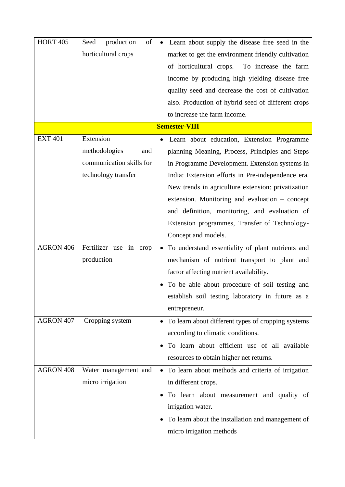| <b>HORT 405</b>      | production<br>of<br>Seed     | Learn about supply the disease free seed in the    |  |  |
|----------------------|------------------------------|----------------------------------------------------|--|--|
|                      | horticultural crops          | market to get the environment friendly cultivation |  |  |
|                      |                              | of horticultural crops. To increase the farm       |  |  |
|                      |                              | income by producing high yielding disease free     |  |  |
|                      |                              | quality seed and decrease the cost of cultivation  |  |  |
|                      |                              | also. Production of hybrid seed of different crops |  |  |
|                      |                              | to increase the farm income.                       |  |  |
| <b>Semester-VIII</b> |                              |                                                    |  |  |
| <b>EXT 401</b>       | Extension                    | Learn about education, Extension Programme         |  |  |
|                      | methodologies<br>and         | planning Meaning, Process, Principles and Steps    |  |  |
|                      | communication skills for     | in Programme Development. Extension systems in     |  |  |
|                      | technology transfer          | India: Extension efforts in Pre-independence era.  |  |  |
|                      |                              | New trends in agriculture extension: privatization |  |  |
|                      |                              | extension. Monitoring and evaluation – concept     |  |  |
|                      |                              | and definition, monitoring, and evaluation of      |  |  |
|                      |                              | Extension programmes, Transfer of Technology-      |  |  |
|                      |                              | Concept and models.                                |  |  |
| AGRON 406            | Fertilizer use<br>in<br>crop | To understand essentiality of plant nutrients and  |  |  |
|                      | production                   | mechanism of nutrient transport to plant and       |  |  |
|                      |                              | factor affecting nutrient availability.            |  |  |
|                      |                              | To be able about procedure of soil testing and     |  |  |
|                      |                              | establish soil testing laboratory in future as a   |  |  |
|                      |                              | entrepreneur.                                      |  |  |
| AGRON 407            | Cropping system              | To learn about different types of cropping systems |  |  |
|                      |                              | according to climatic conditions.                  |  |  |
|                      |                              | To learn about efficient use of all available      |  |  |
|                      |                              | resources to obtain higher net returns.            |  |  |
| AGRON 408            | Water management and         | To learn about methods and criteria of irrigation  |  |  |
|                      | micro irrigation             | in different crops.                                |  |  |
|                      |                              | To learn about measurement and quality of          |  |  |
|                      |                              | irrigation water.                                  |  |  |
|                      |                              | To learn about the installation and management of  |  |  |
|                      |                              | micro irrigation methods                           |  |  |